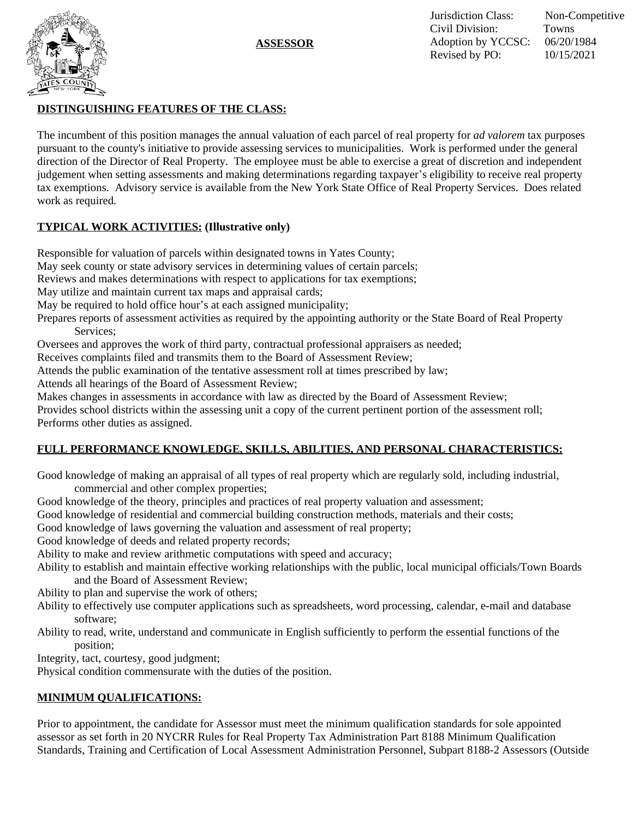**ASSESSOR**



Jurisdiction Class: Non-Competitive Civil Division: Towns Adoption by YCCSC: 06/20/1984 Revised by PO: 10/15/2021

### **DISTINGUISHING FEATURES OF THE CLASS:**

The incumbent of this position manages the annual valuation of each parcel of real property for *ad valorem* tax purposes pursuant to the county's initiative to provide assessing services to municipalities. Work is performed under the general direction of the Director of Real Property. The employee must be able to exercise a great of discretion and independent judgement when setting assessments and making determinations regarding taxpayer's eligibility to receive real property tax exemptions. Advisory service is available from the New York State Office of Real Property Services. Does related work as required.

## **TYPICAL WORK ACTIVITIES: (Illustrative only)**

Responsible for valuation of parcels within designated towns in Yates County;

May seek county or state advisory services in determining values of certain parcels;

Reviews and makes determinations with respect to applications for tax exemptions;

May utilize and maintain current tax maps and appraisal cards;

May be required to hold office hour's at each assigned municipality;

Prepares reports of assessment activities as required by the appointing authority or the State Board of Real Property Services;

Oversees and approves the work of third party, contractual professional appraisers as needed;

Receives complaints filed and transmits them to the Board of Assessment Review;

Attends the public examination of the tentative assessment roll at times prescribed by law;

Attends all hearings of the Board of Assessment Review;

Makes changes in assessments in accordance with law as directed by the Board of Assessment Review;

Provides school districts within the assessing unit a copy of the current pertinent portion of the assessment roll; Performs other duties as assigned.

# **FULL PERFORMANCE KNOWLEDGE, SKILLS, ABILITIES, AND PERSONAL CHARACTERISTICS:**

Good knowledge of making an appraisal of all types of real property which are regularly sold, including industrial, commercial and other complex properties;

Good knowledge of the theory, principles and practices of real property valuation and assessment;

Good knowledge of residential and commercial building construction methods, materials and their costs;

Good knowledge of laws governing the valuation and assessment of real property;

Good knowledge of deeds and related property records;

Ability to make and review arithmetic computations with speed and accuracy;

- Ability to establish and maintain effective working relationships with the public, local municipal officials/Town Boards and the Board of Assessment Review;
- Ability to plan and supervise the work of others;
- Ability to effectively use computer applications such as spreadsheets, word processing, calendar, e-mail and database software;
- Ability to read, write, understand and communicate in English sufficiently to perform the essential functions of the position;

Integrity, tact, courtesy, good judgment;

Physical condition commensurate with the duties of the position.

#### **MINIMUM QUALIFICATIONS:**

Prior to appointment, the candidate for Assessor must meet the minimum qualification standards for sole appointed assessor as set forth in 20 NYCRR Rules for Real Property Tax Administration Part 8188 Minimum Qualification Standards, Training and Certification of Local Assessment Administration Personnel, Subpart 8188-2 Assessors (Outside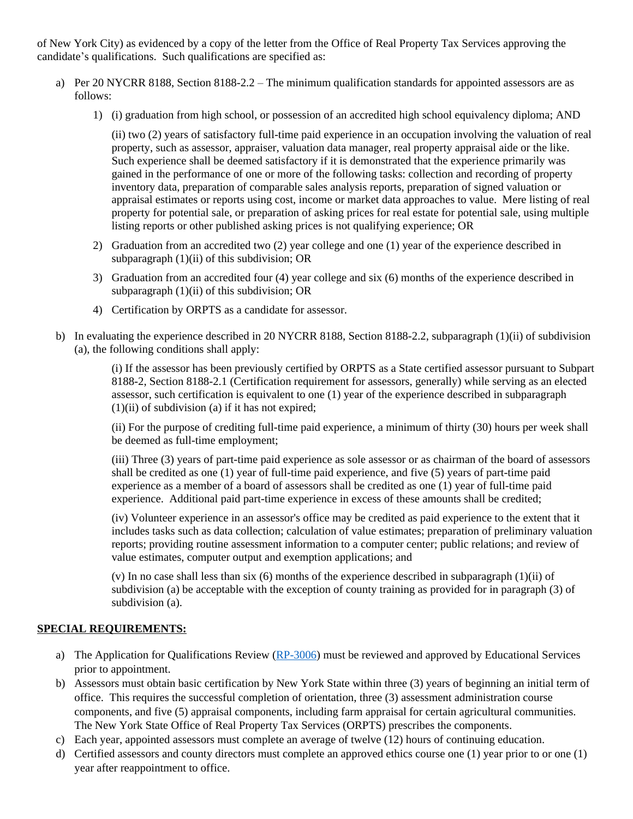of New York City) as evidenced by a copy of the letter from the Office of Real Property Tax Services approving the candidate's qualifications. Such qualifications are specified as:

- a) Per 20 NYCRR 8188, Section 8188-2.2 The minimum qualification standards for appointed assessors are as follows:
	- 1) (i) graduation from high school, or possession of an accredited high school equivalency diploma; AND

(ii) two (2) years of satisfactory full-time paid experience in an occupation involving the valuation of real property, such as assessor, appraiser, valuation data manager, real property appraisal aide or the like. Such experience shall be deemed satisfactory if it is demonstrated that the experience primarily was gained in the performance of one or more of the following tasks: collection and recording of property inventory data, preparation of comparable sales analysis reports, preparation of signed valuation or appraisal estimates or reports using cost, income or market data approaches to value. Mere listing of real property for potential sale, or preparation of asking prices for real estate for potential sale, using multiple listing reports or other published asking prices is not qualifying experience; OR

- 2) Graduation from an accredited two (2) year college and one (1) year of the experience described in subparagraph (1)(ii) of this subdivision; OR
- 3) Graduation from an accredited four (4) year college and six (6) months of the experience described in subparagraph (1)(ii) of this subdivision; OR
- 4) Certification by ORPTS as a candidate for assessor.
- b) In evaluating the experience described in 20 NYCRR 8188, Section 8188-2.2, subparagraph (1)(ii) of subdivision (a), the following conditions shall apply:

(i) If the assessor has been previously certified by ORPTS as a State certified assessor pursuant to Subpart 8188-2, Section 8188-2.1 (Certification requirement for assessors, generally) while serving as an elected assessor, such certification is equivalent to one (1) year of the experience described in subparagraph  $(1)(ii)$  of subdivision (a) if it has not expired;

(ii) For the purpose of crediting full-time paid experience, a minimum of thirty (30) hours per week shall be deemed as full-time employment;

(iii) Three (3) years of part-time paid experience as sole assessor or as chairman of the board of assessors shall be credited as one (1) year of full-time paid experience, and five (5) years of part-time paid experience as a member of a board of assessors shall be credited as one (1) year of full-time paid experience. Additional paid part-time experience in excess of these amounts shall be credited;

(iv) Volunteer experience in an assessor's office may be credited as paid experience to the extent that it includes tasks such as data collection; calculation of value estimates; preparation of preliminary valuation reports; providing routine assessment information to a computer center; public relations; and review of value estimates, computer output and exemption applications; and

(v) In no case shall less than six (6) months of the experience described in subparagraph (1)(ii) of subdivision (a) be acceptable with the exception of county training as provided for in paragraph (3) of subdivision (a).

#### **SPECIAL REQUIREMENTS:**

- a) The Application for Qualifications Review [\(RP-3006](https://www.tax.ny.gov/pdf/current_forms/orpts/rp3006_fill_in.pdf)) must be reviewed and approved by Educational Services prior to appointment.
- b) Assessors must obtain basic certification by New York State within three (3) years of beginning an initial term of office. This requires the successful completion of orientation, three (3) assessment administration course components, and five (5) appraisal components, including farm appraisal for certain agricultural communities. The New York State Office of Real Property Tax Services (ORPTS) prescribes the components.
- c) Each year, appointed assessors must complete an average of twelve (12) hours of continuing education.
- d) Certified assessors and county directors must complete an approved ethics course one (1) year prior to or one (1) year after reappointment to office.